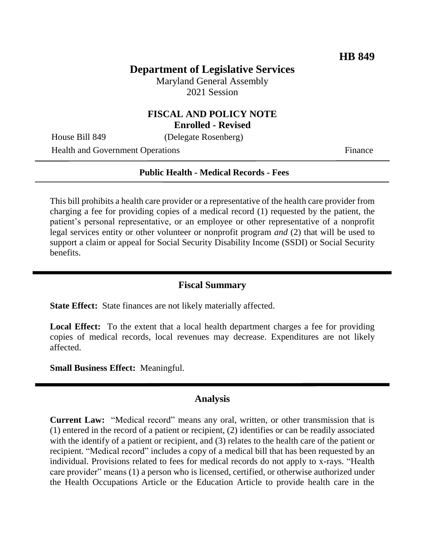## **Department of Legislative Services**

Maryland General Assembly 2021 Session

# **FISCAL AND POLICY NOTE**

**Enrolled - Revised**

House Bill 849 (Delegate Rosenberg)

Health and Government Operations Finance

#### **Public Health - Medical Records - Fees**

This bill prohibits a health care provider or a representative of the health care provider from charging a fee for providing copies of a medical record (1) requested by the patient, the patient's personal representative, or an employee or other representative of a nonprofit legal services entity or other volunteer or nonprofit program *and* (2) that will be used to support a claim or appeal for Social Security Disability Income (SSDI) or Social Security benefits.

### **Fiscal Summary**

**State Effect:** State finances are not likely materially affected.

Local Effect: To the extent that a local health department charges a fee for providing copies of medical records, local revenues may decrease. Expenditures are not likely affected.

**Small Business Effect:** Meaningful.

### **Analysis**

**Current Law:** "Medical record" means any oral, written, or other transmission that is (1) entered in the record of a patient or recipient, (2) identifies or can be readily associated with the identify of a patient or recipient, and (3) relates to the health care of the patient or recipient. "Medical record" includes a copy of a medical bill that has been requested by an individual. Provisions related to fees for medical records do not apply to x-rays. "Health care provider" means (1) a person who is licensed, certified, or otherwise authorized under the Health Occupations Article or the Education Article to provide health care in the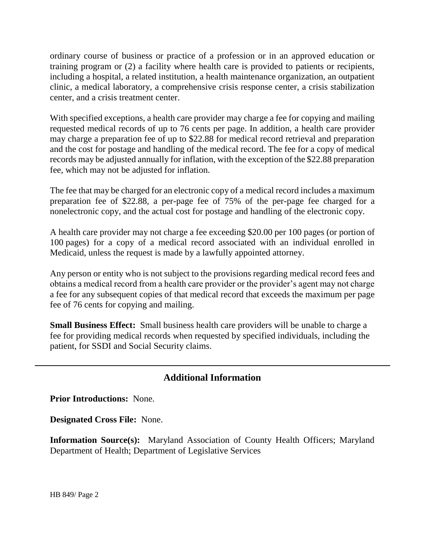ordinary course of business or practice of a profession or in an approved education or training program or (2) a facility where health care is provided to patients or recipients, including a hospital, a related institution, a health maintenance organization, an outpatient clinic, a medical laboratory, a comprehensive crisis response center, a crisis stabilization center, and a crisis treatment center.

With specified exceptions, a health care provider may charge a fee for copying and mailing requested medical records of up to 76 cents per page. In addition, a health care provider may charge a preparation fee of up to \$22.88 for medical record retrieval and preparation and the cost for postage and handling of the medical record. The fee for a copy of medical records may be adjusted annually for inflation, with the exception of the \$22.88 preparation fee, which may not be adjusted for inflation.

The fee that may be charged for an electronic copy of a medical record includes a maximum preparation fee of \$22.88, a per-page fee of 75% of the per-page fee charged for a nonelectronic copy, and the actual cost for postage and handling of the electronic copy.

A health care provider may not charge a fee exceeding \$20.00 per 100 pages (or portion of 100 pages) for a copy of a medical record associated with an individual enrolled in Medicaid, unless the request is made by a lawfully appointed attorney.

Any person or entity who is not subject to the provisions regarding medical record fees and obtains a medical record from a health care provider or the provider's agent may not charge a fee for any subsequent copies of that medical record that exceeds the maximum per page fee of 76 cents for copying and mailing.

**Small Business Effect:** Small business health care providers will be unable to charge a fee for providing medical records when requested by specified individuals, including the patient, for SSDI and Social Security claims.

## **Additional Information**

**Prior Introductions:** None.

**Designated Cross File:** None.

**Information Source(s):** Maryland Association of County Health Officers; Maryland Department of Health; Department of Legislative Services